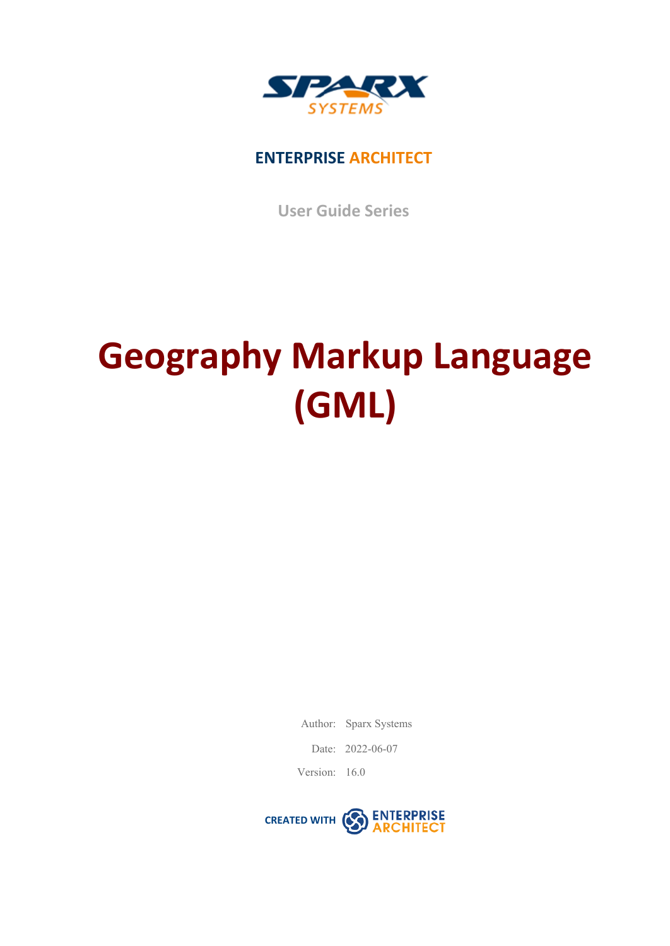

# **ENTERPRISE ARCHITECT**

**User Guide Series**

# **Geography Markup Language (GML)**

Author: Sparx Systems

Date: 2022-06-07

Version: 16.0

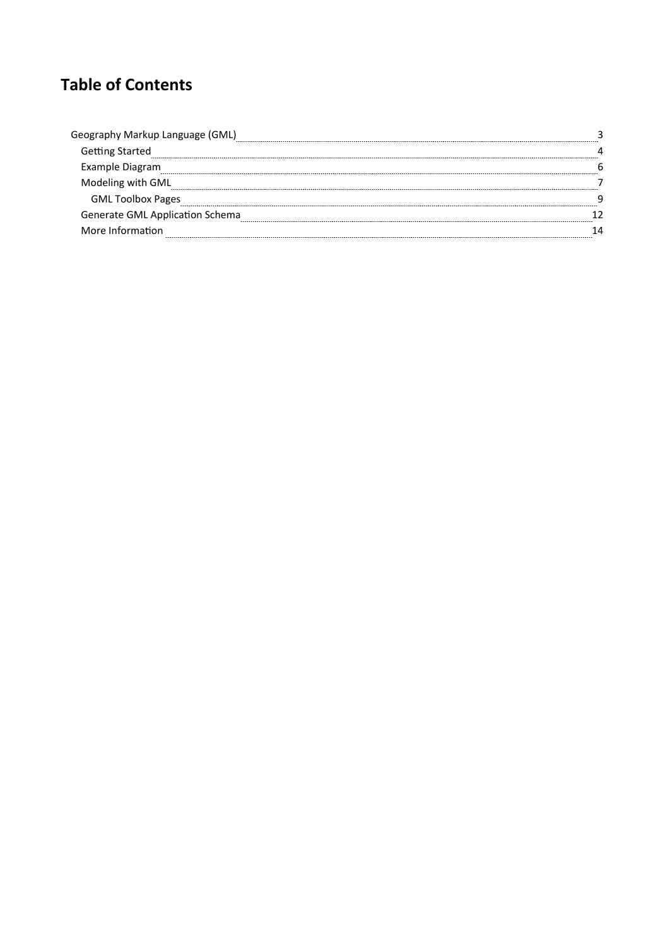# **Table of Contents**

| aphy Markup Language (GML)<br>Geog<br> |  |
|----------------------------------------|--|
| <b>Getting Started</b>                 |  |
| Example Diagram                        |  |
| Modeling with GML                      |  |
| <b>GML Toolbox Pages</b>               |  |
| Generate GML Application Schema        |  |
| More Information                       |  |
|                                        |  |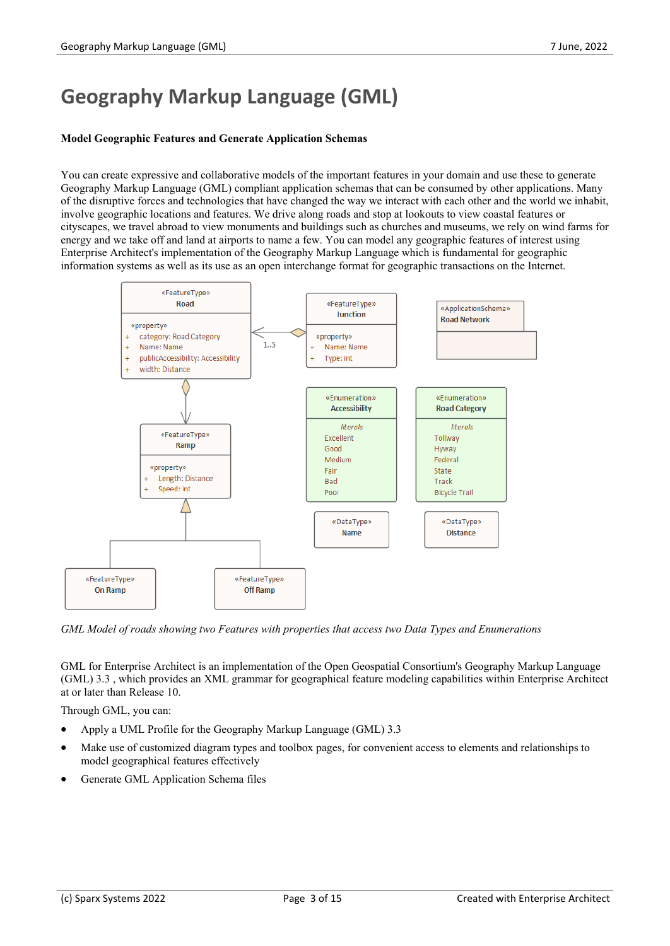# **Geography Markup Language (GML)**

#### **Model Geographic Features and Generate Application Schemas**

You can create expressive and collaborative models of the important features in your domain and use these to generate Geography Markup Language (GML) compliant application schemas that can be consumed by other applications. Many of the disruptive forces and technologies that have changed the way we interact with each other and the world we inhabit, involve geographic locations and features. We drive along roads and stop at lookouts to view coastal features or cityscapes, we travel abroad to view monuments and buildings such as churches and museums, we rely on wind farms for energy and we take off and land at airports to name a few. You can model any geographic features of interest using Enterprise Architect's implementation of the Geography Markup Language which is fundamental for geographic information systems as well as its use asan open interchange format for geographic transactions on the Internet.



*GML Model of roads showing two Features with properties that access two Data Types and Enumerations*

GML for Enterprise Architect is an implementation of the Open Geospatial Consortium's Geography Markup Language (GML) 3.3 , which provides an XML grammar for geographical feature modeling capabilities within Enterprise Architect at or later than Release 10.

Through GML, you can:

- · Apply a UML Profile for the Geography Markup Language (GML) 3.3
- Make use of customized diagram types and toolbox pages, for convenient access to elements and relationships to model geographical features effectively
- Generate GML Application Schema files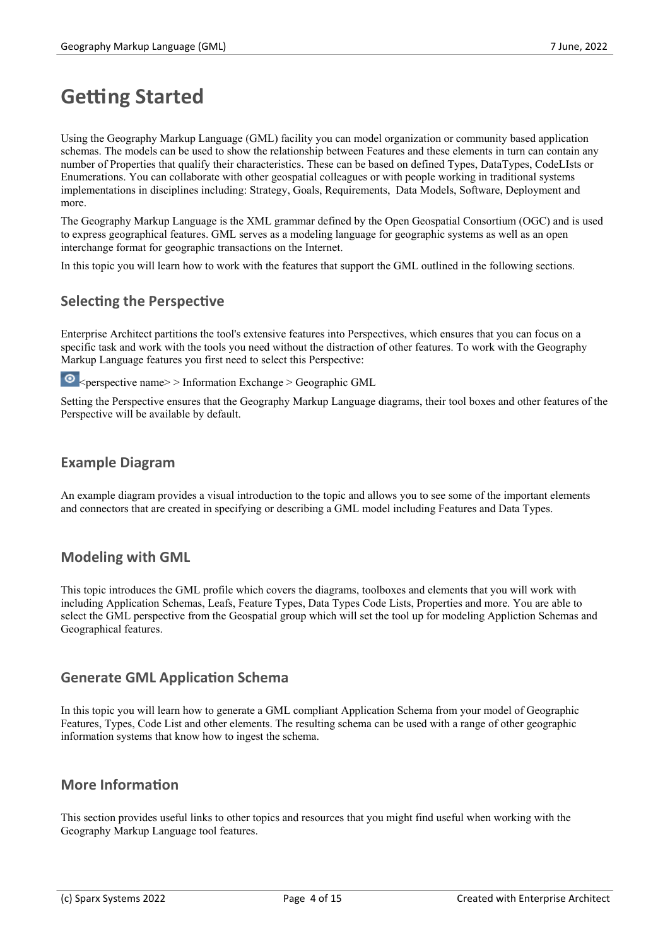# **Getting Started**

Using the Geography Markup Language (GML) facility you can model organization or community based application schemas. The models can be used to show the relationship between Features and these elements in turn can contain any number of Properties that qualify their characteristics. These can be based on defined Types, DataTypes, CodeLIsts or Enumerations. You can collaborate with other geospatial colleagues or with people working in traditional systems implementations in disciplines including: Strategy, Goals, Requirements, Data Models, Software, Deployment and more.

The Geography Markup Language is the XML grammar defined by the Open Geospatial Consortium (OGC) and is used to express geographical features. GML serves as a modeling language for geographic systems as well as an open interchange format for geographic transactions on the Internet.

In this topic you will learn how to work with the features that support the GML outlined in the following sections.

# **Selecting the Perspective**

Enterprise Architect partitions the tool's extensive features into Perspectives, which ensures that you can focus on a specific task and work with the tools you need without the distraction of other features. To work with the Geography Markup Language features you first need to select this Perspective:

 $\bullet$  <perspective name> > Information Exchange > Geographic GML

Setting the Perspective ensures that the Geography Markup Language diagrams, their tool boxes and other features of the Perspective will be available by default.

## **Example Diagram**

An example diagram provides a visual introduction to the topic and allows you to see some of the important elements and connectors that are created in specifying or describing a GML model including Features and Data Types.

## **Modeling with GML**

This topic introduces the GML profile which covers the diagrams, toolboxes and elements that you will work with including Application Schemas, Leafs, Feature Types, Data Types Code Lists, Properties and more. You are able to select the GML perspective from the Geospatial group which will set the tool up for modeling Appliction Schemas and Geographical features.

## **Generate GML Application Schema**

In this topic you will learn how to generate a GML compliant Application Schema from your model of Geographic Features, Types, Code List and other elements. The resulting schema can be used with a range of other geographic information systems that know how to ingest the schema.

## **More Information**

This section provides useful links to other topics and resources that you might find useful when working with the Geography Markup Language tool features.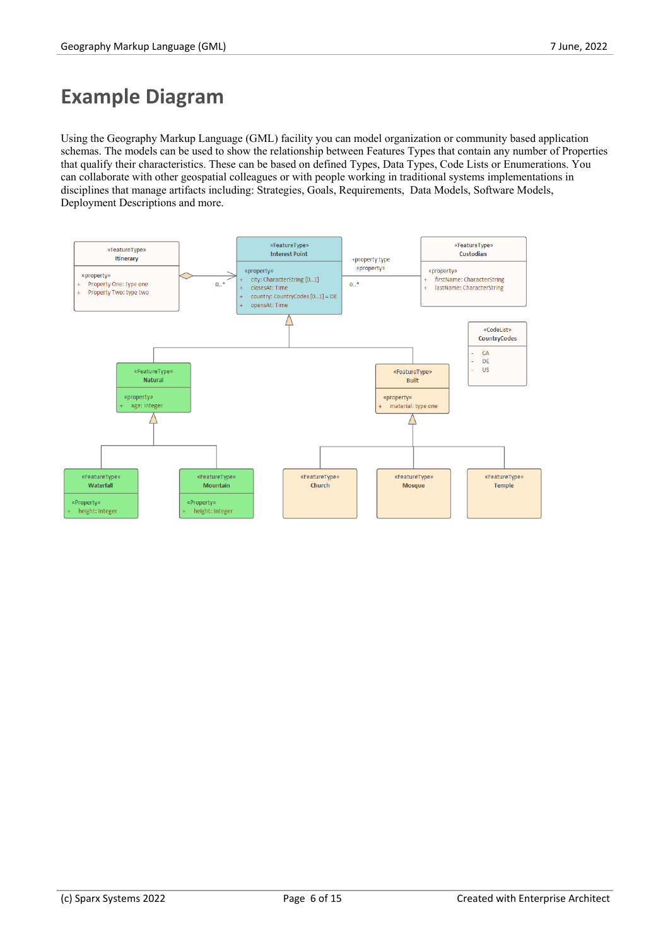# **Example Diagram**

Using the Geography Markup Language (GML) facility you can model organization or community based application schemas. The models can be used to show the relationship between Features Types that contain any number of Properties that qualify their characteristics. These can be based on defined Types, Data Types, Code Lists or Enumerations. You can collaborate with other geospatial colleagues orwith people working in traditional systems implementations in disciplines that manage artifacts including: Strategies, Goals, Requirements, Data Models, Software Models, Deployment Descriptions and more.

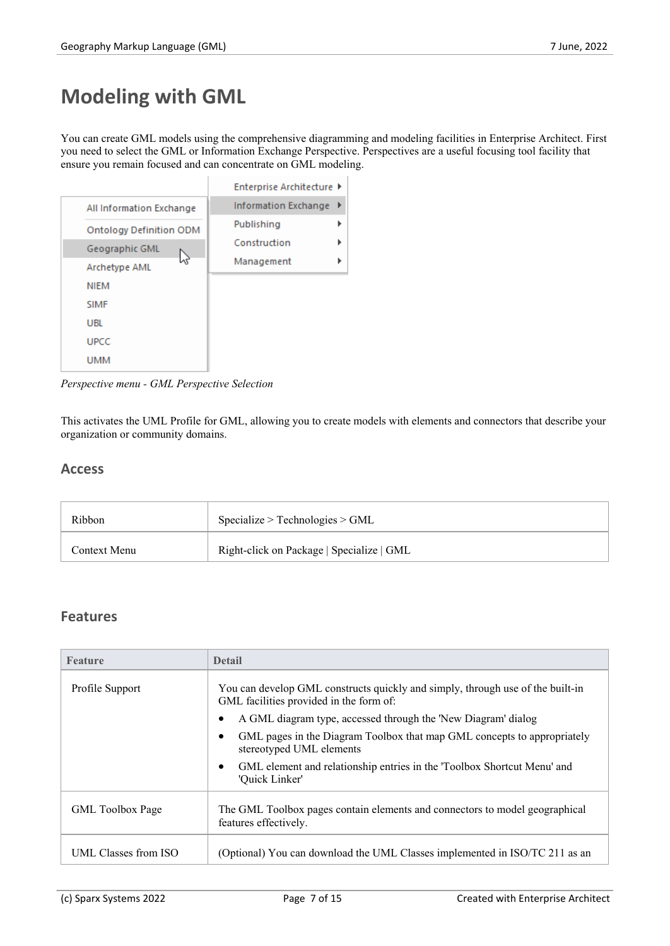# **Modeling with GML**

You can create GML models using the comprehensive diagramming and modeling facilities in Enterprise Architect. First you need to select the GML or Information Exchange Perspective. Perspectives are a useful focusing tool facility that ensure you remain focused and can concentrate on GML modeling.

| Enterprise Architecture ▶ |
|---------------------------|
| Information Exchange      |
| Publishing                |
| Construction              |
| Management                |
|                           |
|                           |
|                           |
|                           |
|                           |
|                           |

*Perspective menu - GML Perspective Selection*

This activates the UML Profile for GML, allowing you to create models with elements and connectors that describe your organization or community domains.

## **Access**

| Ribbon       | Specialize > Technologies > GML           |
|--------------|-------------------------------------------|
| Context Menu | Right-click on Package   Specialize   GML |

## **Features**

| <b>Feature</b>          | <b>Detail</b>                                                                                                             |
|-------------------------|---------------------------------------------------------------------------------------------------------------------------|
| Profile Support         | You can develop GML constructs quickly and simply, through use of the built-in<br>GML facilities provided in the form of: |
|                         | A GML diagram type, accessed through the 'New Diagram' dialog                                                             |
|                         | GML pages in the Diagram Toolbox that map GML concepts to appropriately<br>stereotyped UML elements                       |
|                         | GML element and relationship entries in the 'Toolbox Shortcut Menu' and<br>'Quick Linker'                                 |
| <b>GML</b> Toolbox Page | The GML Toolbox pages contain elements and connectors to model geographical<br>features effectively.                      |
| UML Classes from ISO    | (Optional) You can download the UML Classes implemented in ISO/TC 211 as an                                               |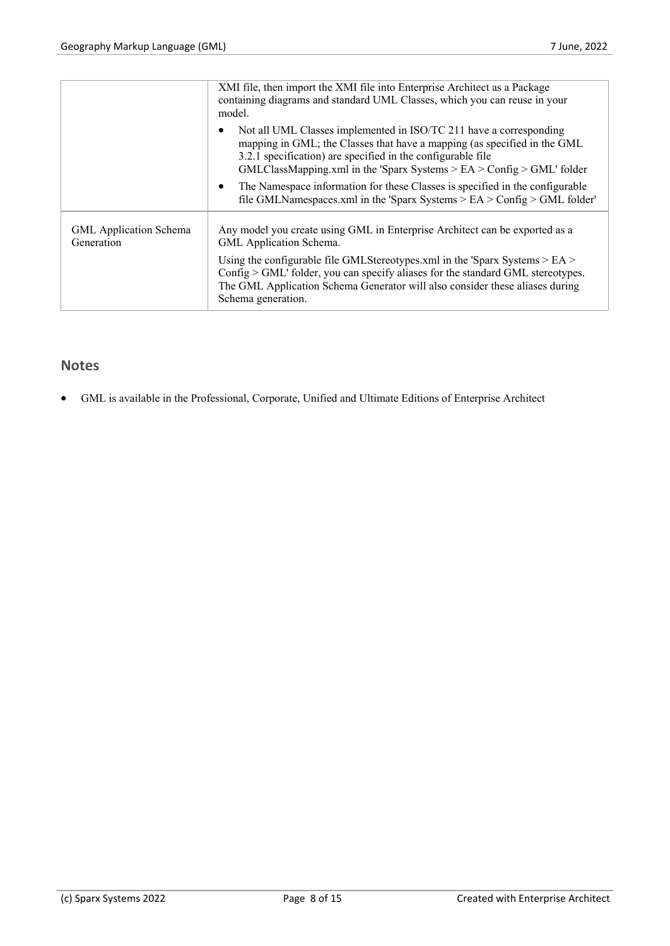|                               | XMI file, then import the XMI file into Enterprise Architect as a Package<br>containing diagrams and standard UML Classes, which you can reuse in your<br>model.                                                                                                                                                                                                                         |
|-------------------------------|------------------------------------------------------------------------------------------------------------------------------------------------------------------------------------------------------------------------------------------------------------------------------------------------------------------------------------------------------------------------------------------|
|                               | Not all UML Classes implemented in ISO/TC 211 have a corresponding<br>mapping in GML; the Classes that have a mapping (as specified in the GML<br>3.2.1 specification) are specified in the configurable file<br>$GMLClassMapping.xml$ in the 'Sparx Systems > EA > Config > $GML$ ' folder<br>The Namespace information for these Classes is specified in the configurable<br>$\bullet$ |
| <b>GML</b> Application Schema | file GMLNamespaces.xml in the 'Sparx Systems $>$ EA $>$ Config $>$ GML folder'<br>Any model you create using GML in Enterprise Architect can be exported as a                                                                                                                                                                                                                            |
| Generation                    | GML Application Schema.                                                                                                                                                                                                                                                                                                                                                                  |
|                               | Using the configurable file GMLStereotypes.xml in the 'Sparx Systems $>$ EA $>$<br>Config > GML' folder, you can specify aliases for the standard GML stereotypes.<br>The GML Application Schema Generator will also consider these aliases during<br>Schema generation.                                                                                                                 |
|                               |                                                                                                                                                                                                                                                                                                                                                                                          |

# **Notes**

• GML is available in the Professional, Corporate, Unified and Ultimate Editions of Enterprise Architect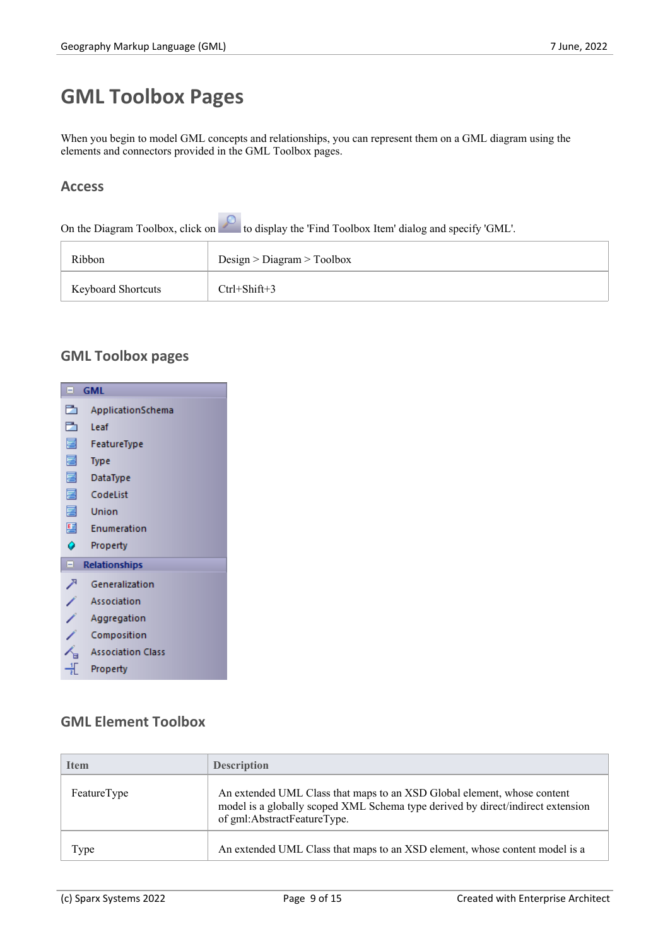# **GML Toolbox Pages**

When you begin to model GML concepts and relationships, you can represent them on a GML diagram using the elements and connectors provided in the GML Toolbox pages.

## **Access**

On the Diagram Toolbox, click on the display the 'Find Toolbox Item' dialog and specify 'GML'.

| Ribbon                    | Design > Diagram > Toolbox |
|---------------------------|----------------------------|
| <b>Keyboard Shortcuts</b> | $Ctrl + Shift + 3$         |

# **GML Toolbox pages**



# **GML Element Toolbox**

| <b>Item</b> | <b>Description</b>                                                                                                                                                                        |
|-------------|-------------------------------------------------------------------------------------------------------------------------------------------------------------------------------------------|
| FeatureType | An extended UML Class that maps to an XSD Global element, whose content<br>model is a globally scoped XML Schema type derived by direct/indirect extension<br>of gml:AbstractFeatureType. |
| Type        | An extended UML Class that maps to an XSD element, whose content model is a                                                                                                               |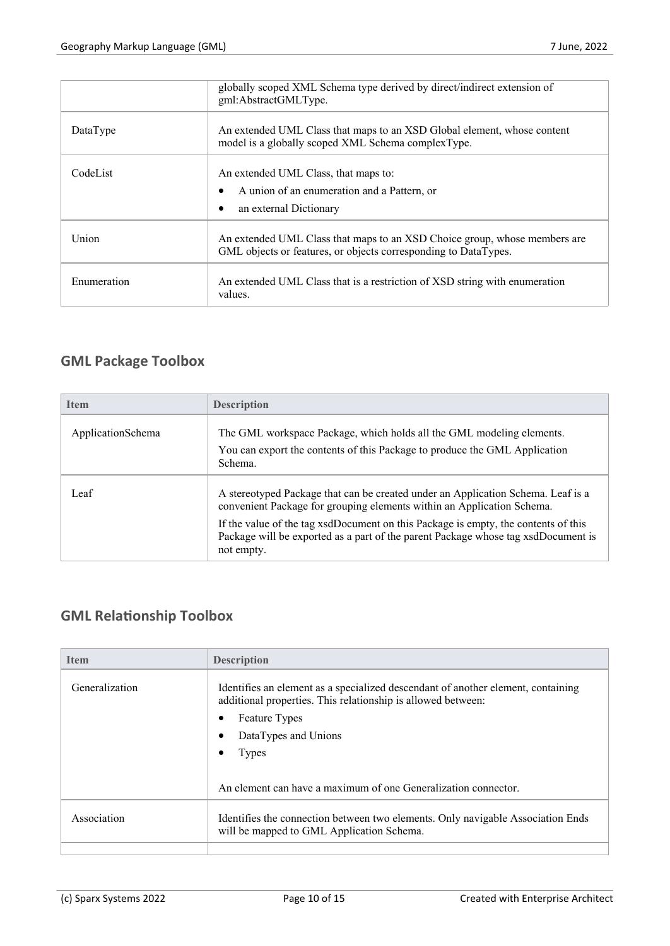|             | globally scoped XML Schema type derived by direct/indirect extension of<br>gml:AbstractGMLType.                                              |
|-------------|----------------------------------------------------------------------------------------------------------------------------------------------|
| DataType    | An extended UML Class that maps to an XSD Global element, whose content<br>model is a globally scoped XML Schema complexType.                |
| CodeList    | An extended UML Class, that maps to:<br>A union of an enumeration and a Pattern, or<br>$\bullet$<br>an external Dictionary<br>٠              |
| Union       | An extended UML Class that maps to an XSD Choice group, whose members are<br>GML objects or features, or objects corresponding to DataTypes. |
| Enumeration | An extended UML Class that is a restriction of XSD string with enumeration<br>values.                                                        |

# **GML Package Toolbox**

| <b>Item</b>       | <b>Description</b>                                                                                                                                                                    |
|-------------------|---------------------------------------------------------------------------------------------------------------------------------------------------------------------------------------|
| ApplicationSchema | The GML workspace Package, which holds all the GML modeling elements.<br>You can export the contents of this Package to produce the GML Application<br>Schema.                        |
| Leaf              | A stereotyped Package that can be created under an Application Schema. Leaf is a<br>convenient Package for grouping elements within an Application Schema.                            |
|                   | If the value of the tag xsdDocument on this Package is empty, the contents of this<br>Package will be exported as a part of the parent Package whose tag xsdDocument is<br>not empty. |

# **GML Relationship Toolbox**

| <b>Item</b>    | <b>Description</b>                                                                                                                                                                                 |
|----------------|----------------------------------------------------------------------------------------------------------------------------------------------------------------------------------------------------|
| Generalization | Identifies an element as a specialized descendant of another element, containing<br>additional properties. This relationship is allowed between:<br>Feature Types<br>DataTypes and Unions<br>Types |
|                | An element can have a maximum of one Generalization connector.                                                                                                                                     |
| Association    | Identifies the connection between two elements. Only navigable Association Ends<br>will be mapped to GML Application Schema.                                                                       |
|                |                                                                                                                                                                                                    |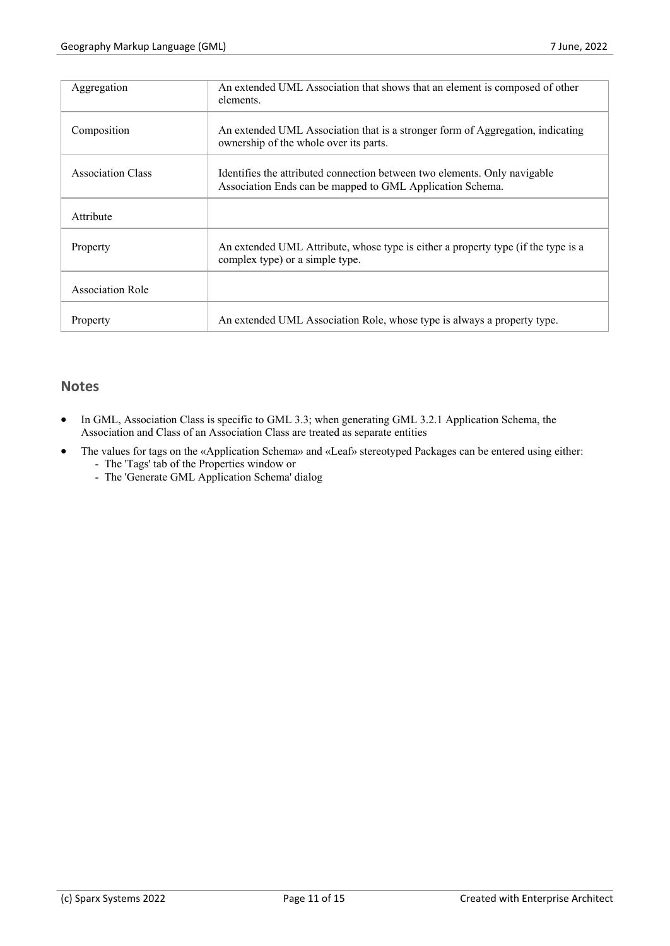| Aggregation              | An extended UML Association that shows that an element is composed of other<br>elements.                                               |
|--------------------------|----------------------------------------------------------------------------------------------------------------------------------------|
| Composition              | An extended UML Association that is a stronger form of Aggregation, indicating<br>ownership of the whole over its parts.               |
| <b>Association Class</b> | Identifies the attributed connection between two elements. Only navigable<br>Association Ends can be mapped to GML Application Schema. |
| Attribute                |                                                                                                                                        |
| Property                 | An extended UML Attribute, whose type is either a property type (if the type is a<br>complex type) or a simple type.                   |
| <b>Association Role</b>  |                                                                                                                                        |
| Property                 | An extended UML Association Role, whose type is always a property type.                                                                |

## **Notes**

- In GML, Association Class is specific to GML 3.3; when generating GML 3.2.1 Application Schema, the Association and Class of an Association Class are treated as separate entities
- The values for tags on the «Application Schema» and «Leaf» stereotyped Packages can be entered using either: - The 'Tags' tab of the Properties window or
	- The 'Generate GML Application Schema' dialog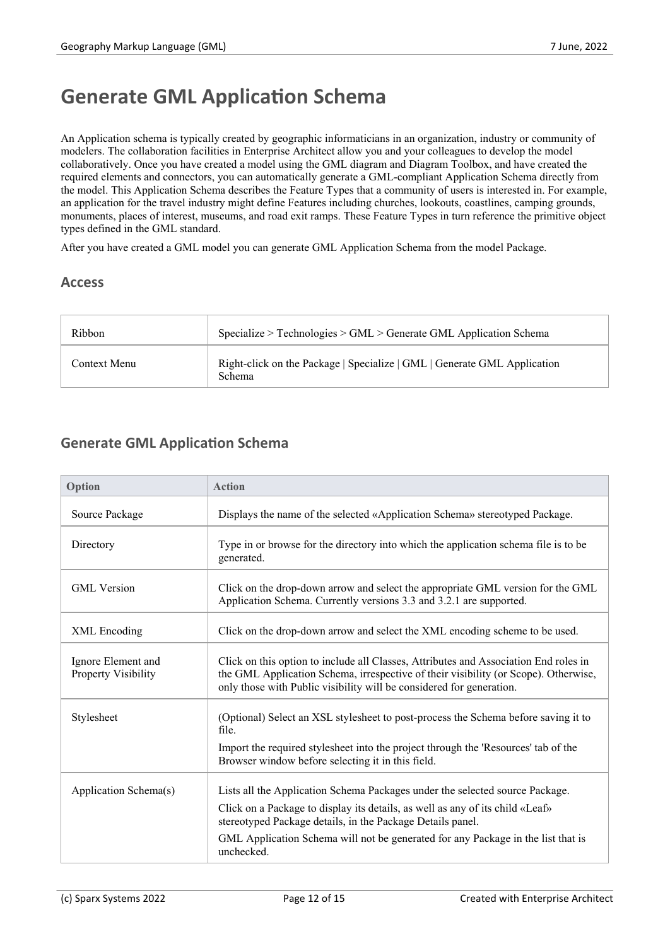# **Generate GML Application Schema**

An Application schema is typically created by geographic informaticians in an organization, industry or community of modelers. The collaboration facilities in Enterprise Architect allow you and your colleagues to develop the model collaboratively. Once you have created a model using the GML diagram and Diagram Toolbox, and have created the required elements and connectors, you can automatically generate a GML-compliant Application Schema directly from the model. This Application Schema describes the Feature Types that a community of users is interested in. For example, an application for the travel industry might define Features including churches, lookouts, coastlines, camping grounds, monuments, places of interest, museums, and road exit ramps. These Feature Types in turn reference the primitive object types defined in the GML standard.

After you have created a GML model you can generate GML Application Schema from the model Package.

#### **Access**

| Ribbon       | Specialize > Technologies > GML > Generate GML Application Schema                  |
|--------------|------------------------------------------------------------------------------------|
| Context Menu | Right-click on the Package   Specialize   GML   Generate GML Application<br>Schema |

# **Generate GML Application Schema**

| Option                                           | <b>Action</b>                                                                                                                                                                                                                                       |
|--------------------------------------------------|-----------------------------------------------------------------------------------------------------------------------------------------------------------------------------------------------------------------------------------------------------|
| Source Package                                   | Displays the name of the selected «Application Schema» stereotyped Package.                                                                                                                                                                         |
| Directory                                        | Type in or browse for the directory into which the application schema file is to be<br>generated.                                                                                                                                                   |
| <b>GML</b> Version                               | Click on the drop-down arrow and select the appropriate GML version for the GML<br>Application Schema. Currently versions 3.3 and 3.2.1 are supported.                                                                                              |
| XML Encoding                                     | Click on the drop-down arrow and select the XML encoding scheme to be used.                                                                                                                                                                         |
| Ignore Element and<br><b>Property Visibility</b> | Click on this option to include all Classes, Attributes and Association End roles in<br>the GML Application Schema, irrespective of their visibility (or Scope). Otherwise,<br>only those with Public visibility will be considered for generation. |
| Stylesheet                                       | (Optional) Select an XSL stylesheet to post-process the Schema before saving it to<br>file.                                                                                                                                                         |
|                                                  | Import the required stylesheet into the project through the 'Resources' tab of the<br>Browser window before selecting it in this field.                                                                                                             |
| Application Schema(s)                            | Lists all the Application Schema Packages under the selected source Package.                                                                                                                                                                        |
|                                                  | Click on a Package to display its details, as well as any of its child «Leaf»<br>stereotyped Package details, in the Package Details panel.                                                                                                         |
|                                                  | GML Application Schema will not be generated for any Package in the list that is<br>unchecked.                                                                                                                                                      |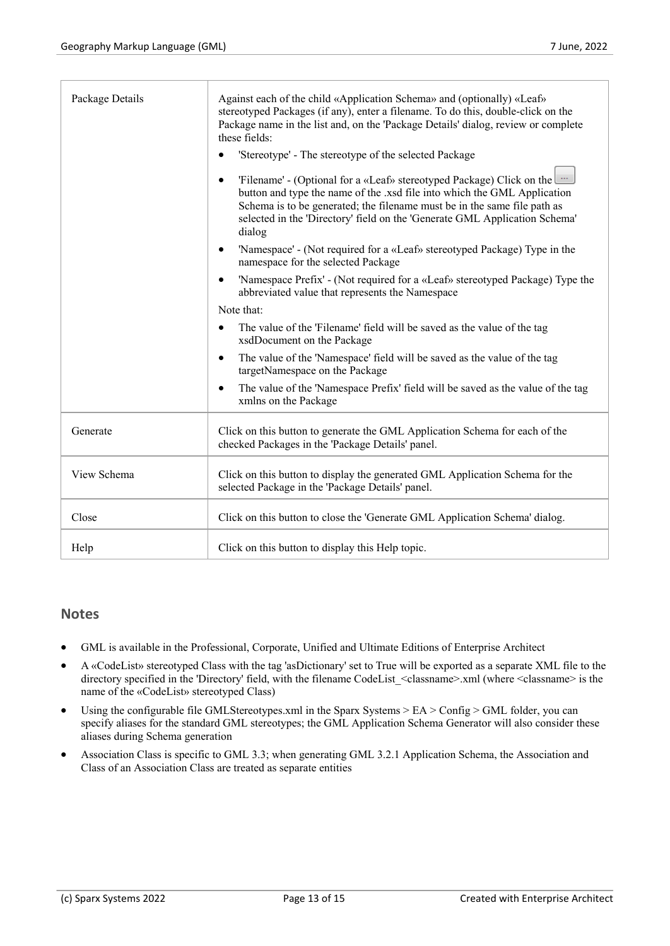| Package Details | Against each of the child «Application Schema» and (optionally) «Leaf»<br>stereotyped Packages (if any), enter a filename. To do this, double-click on the<br>Package name in the list and, on the 'Package Details' dialog, review or complete<br>these fields:<br>'Stereotype' - The stereotype of the selected Package<br>"Eilename' - (Optional for a «Leaf» stereotyped Package) Click on the<br>button and type the name of the .xsd file into which the GML Application<br>Schema is to be generated; the filename must be in the same file path as<br>selected in the 'Directory' field on the 'Generate GML Application Schema'<br>dialog<br>'Namespace' - (Not required for a «Leaf» stereotyped Package) Type in the<br>namespace for the selected Package<br>'Namespace Prefix' - (Not required for a «Leaf» stereotyped Package) Type the<br>$\bullet$<br>abbreviated value that represents the Namespace<br>Note that:<br>The value of the 'Filename' field will be saved as the value of the tag<br>$\bullet$<br>xsdDocument on the Package<br>The value of the 'Namespace' field will be saved as the value of the tag<br>$\bullet$ |
|-----------------|-----------------------------------------------------------------------------------------------------------------------------------------------------------------------------------------------------------------------------------------------------------------------------------------------------------------------------------------------------------------------------------------------------------------------------------------------------------------------------------------------------------------------------------------------------------------------------------------------------------------------------------------------------------------------------------------------------------------------------------------------------------------------------------------------------------------------------------------------------------------------------------------------------------------------------------------------------------------------------------------------------------------------------------------------------------------------------------------------------------------------------------------------------|
|                 | targetNamespace on the Package<br>The value of the 'Namespace Prefix' field will be saved as the value of the tag<br>xmlns on the Package                                                                                                                                                                                                                                                                                                                                                                                                                                                                                                                                                                                                                                                                                                                                                                                                                                                                                                                                                                                                           |
| Generate        | Click on this button to generate the GML Application Schema for each of the<br>checked Packages in the 'Package Details' panel.                                                                                                                                                                                                                                                                                                                                                                                                                                                                                                                                                                                                                                                                                                                                                                                                                                                                                                                                                                                                                     |
| View Schema     | Click on this button to display the generated GML Application Schema for the<br>selected Package in the 'Package Details' panel.                                                                                                                                                                                                                                                                                                                                                                                                                                                                                                                                                                                                                                                                                                                                                                                                                                                                                                                                                                                                                    |
| Close           | Click on this button to close the 'Generate GML Application Schema' dialog.                                                                                                                                                                                                                                                                                                                                                                                                                                                                                                                                                                                                                                                                                                                                                                                                                                                                                                                                                                                                                                                                         |
| Help            | Click on this button to display this Help topic.                                                                                                                                                                                                                                                                                                                                                                                                                                                                                                                                                                                                                                                                                                                                                                                                                                                                                                                                                                                                                                                                                                    |

#### **Notes**

- GML is available in the Professional, Corporate, Unified and Ultimate Editions of Enterprise Architect
- · A «CodeList» stereotyped Class with the tag 'asDictionary' set to True will be exported as a separate XML file to the directory specified in the 'Directory' field, with the filename CodeList\_<classname>.xml (where <classname> is the name of the «CodeList» stereotyped Class)
- Using the configurable file GMLStereotypes.xml in the Sparx Systems > EA > Config > GML folder, you can specify aliases for the standard GML stereotypes; the GML Application Schema Generator will also consider these aliases during Schema generation
- Association Class is specific to GML 3.3; when generating GML 3.2.1 Application Schema, the Association and Class of an Association Class are treated as separate entities